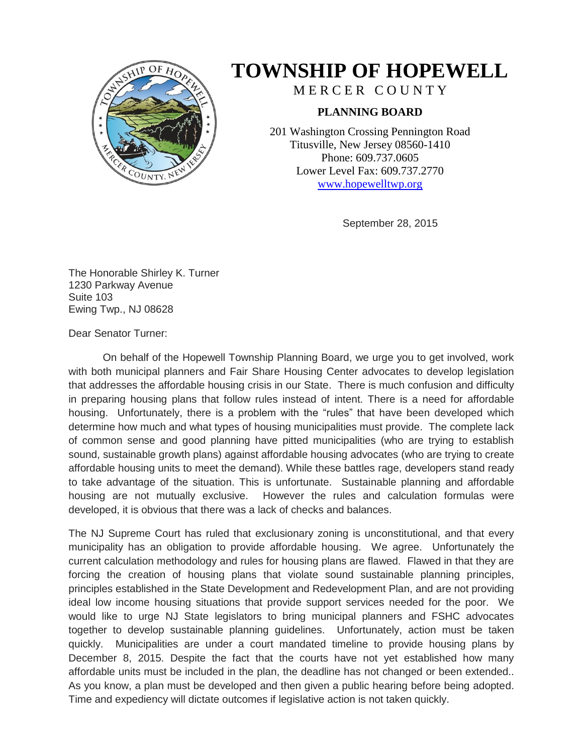

## **TOWNSHIP OF HOPEWELL**

MERCER COUNTY

## **PLANNING BOARD**

201 Washington Crossing Pennington Road Titusville, New Jersey 08560-1410 Phone: 609.737.0605 Lower Level Fax: 609.737.2770 [www.hopewelltwp.org](http://www.hopewelltwp.org/)

September 28, 2015

The Honorable Shirley K. Turner 1230 Parkway Avenue Suite 103 Ewing Twp., NJ 08628

Dear Senator Turner:

On behalf of the Hopewell Township Planning Board, we urge you to get involved, work with both municipal planners and Fair Share Housing Center advocates to develop legislation that addresses the affordable housing crisis in our State. There is much confusion and difficulty in preparing housing plans that follow rules instead of intent. There is a need for affordable housing. Unfortunately, there is a problem with the "rules" that have been developed which determine how much and what types of housing municipalities must provide. The complete lack of common sense and good planning have pitted municipalities (who are trying to establish sound, sustainable growth plans) against affordable housing advocates (who are trying to create affordable housing units to meet the demand). While these battles rage, developers stand ready to take advantage of the situation. This is unfortunate. Sustainable planning and affordable housing are not mutually exclusive. However the rules and calculation formulas were developed, it is obvious that there was a lack of checks and balances.

The NJ Supreme Court has ruled that exclusionary zoning is unconstitutional, and that every municipality has an obligation to provide affordable housing. We agree. Unfortunately the current calculation methodology and rules for housing plans are flawed. Flawed in that they are forcing the creation of housing plans that violate sound sustainable planning principles, principles established in the State Development and Redevelopment Plan, and are not providing ideal low income housing situations that provide support services needed for the poor. We would like to urge NJ State legislators to bring municipal planners and FSHC advocates together to develop sustainable planning guidelines. Unfortunately, action must be taken quickly. Municipalities are under a court mandated timeline to provide housing plans by December 8, 2015. Despite the fact that the courts have not yet established how many affordable units must be included in the plan, the deadline has not changed or been extended.. As you know, a plan must be developed and then given a public hearing before being adopted. Time and expediency will dictate outcomes if legislative action is not taken quickly.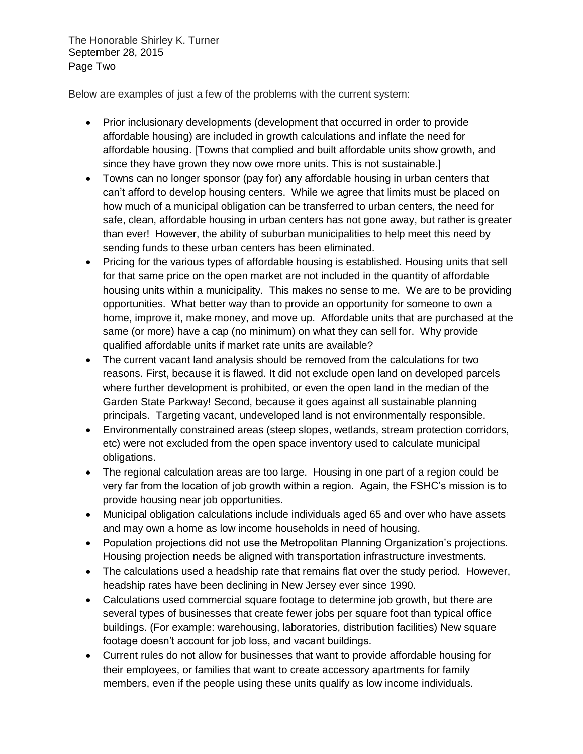The Honorable Shirley K. Turner September 28, 2015 Page Two

Below are examples of just a few of the problems with the current system:

- Prior inclusionary developments (development that occurred in order to provide affordable housing) are included in growth calculations and inflate the need for affordable housing. [Towns that complied and built affordable units show growth, and since they have grown they now owe more units. This is not sustainable.]
- Towns can no longer sponsor (pay for) any affordable housing in urban centers that can't afford to develop housing centers. While we agree that limits must be placed on how much of a municipal obligation can be transferred to urban centers, the need for safe, clean, affordable housing in urban centers has not gone away, but rather is greater than ever! However, the ability of suburban municipalities to help meet this need by sending funds to these urban centers has been eliminated.
- Pricing for the various types of affordable housing is established. Housing units that sell for that same price on the open market are not included in the quantity of affordable housing units within a municipality. This makes no sense to me. We are to be providing opportunities. What better way than to provide an opportunity for someone to own a home, improve it, make money, and move up. Affordable units that are purchased at the same (or more) have a cap (no minimum) on what they can sell for. Why provide qualified affordable units if market rate units are available?
- The current vacant land analysis should be removed from the calculations for two reasons. First, because it is flawed. It did not exclude open land on developed parcels where further development is prohibited, or even the open land in the median of the Garden State Parkway! Second, because it goes against all sustainable planning principals. Targeting vacant, undeveloped land is not environmentally responsible.
- Environmentally constrained areas (steep slopes, wetlands, stream protection corridors, etc) were not excluded from the open space inventory used to calculate municipal obligations.
- The regional calculation areas are too large. Housing in one part of a region could be very far from the location of job growth within a region. Again, the FSHC's mission is to provide housing near job opportunities.
- Municipal obligation calculations include individuals aged 65 and over who have assets and may own a home as low income households in need of housing.
- Population projections did not use the Metropolitan Planning Organization's projections. Housing projection needs be aligned with transportation infrastructure investments.
- The calculations used a headship rate that remains flat over the study period. However, headship rates have been declining in New Jersey ever since 1990.
- Calculations used commercial square footage to determine job growth, but there are several types of businesses that create fewer jobs per square foot than typical office buildings. (For example: warehousing, laboratories, distribution facilities) New square footage doesn't account for job loss, and vacant buildings.
- Current rules do not allow for businesses that want to provide affordable housing for their employees, or families that want to create accessory apartments for family members, even if the people using these units qualify as low income individuals.